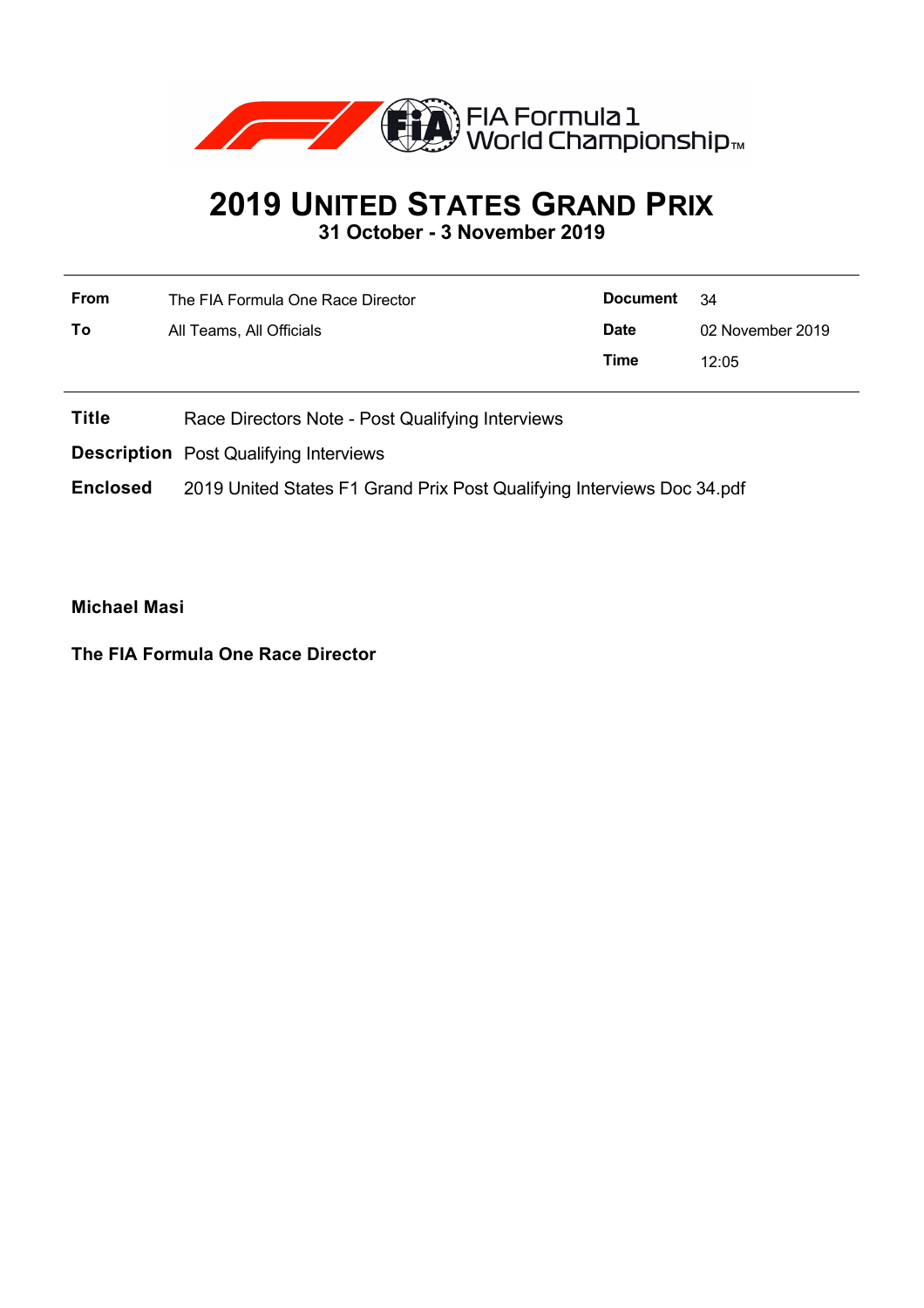

## **2019 UNITED STATES GRAND PRIX**

**31 October - 3 November 2019**

| The FIA Formula One Race Director | Document    | - 34             |
|-----------------------------------|-------------|------------------|
| All Teams, All Officials          | <b>Date</b> | 02 November 2019 |
|                                   | Time        | 12:05            |
|                                   |             |                  |

**Title** Race Directors Note - Post Qualifying Interviews

**Description** Post Qualifying Interviews

**Enclosed** 2019 United States F1 Grand Prix Post Qualifying Interviews Doc 34.pdf

**Michael Masi**

**The FIA Formula One Race Director**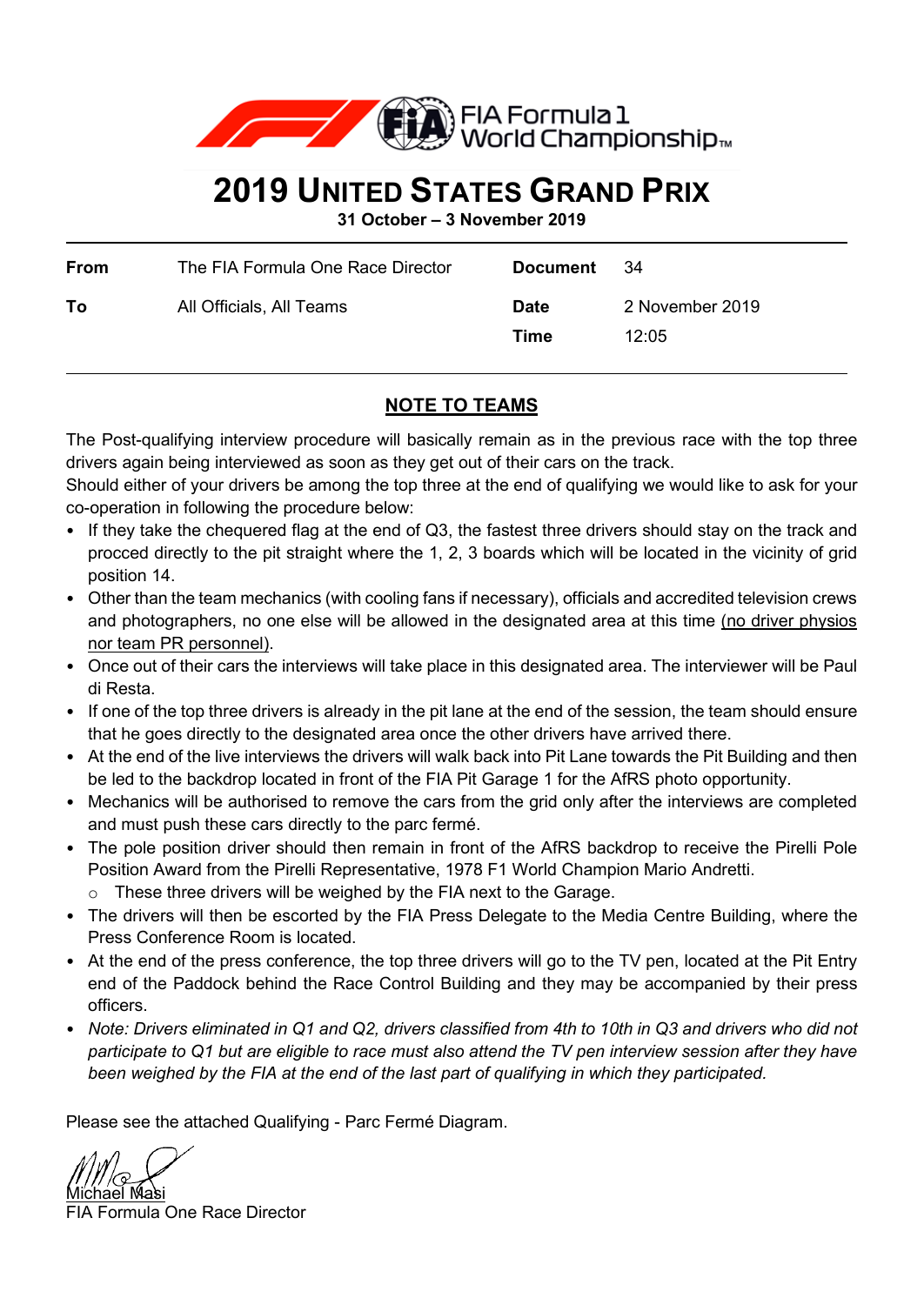

## **2019 UNITED STATES GRAND PRIX**

**31 October – 3 November 2019**

| From | The FIA Formula One Race Director | Document            | - 34                     |
|------|-----------------------------------|---------------------|--------------------------|
| To   | All Officials, All Teams          | <b>Date</b><br>Time | 2 November 2019<br>12.05 |

## **NOTE TO TEAMS**

The Post-qualifying interview procedure will basically remain as in the previous race with the top three drivers again being interviewed as soon as they get out of their cars on the track.

Should either of your drivers be among the top three at the end of qualifying we would like to ask for your co-operation in following the procedure below:

- If they take the chequered flag at the end of Q3, the fastest three drivers should stay on the track and procced directly to the pit straight where the 1, 2, 3 boards which will be located in the vicinity of grid position 14.
- Other than the team mechanics (with cooling fans if necessary), officials and accredited television crews and photographers, no one else will be allowed in the designated area at this time (no driver physios nor team PR personnel).
- Once out of their cars the interviews will take place in this designated area. The interviewer will be Paul di Resta.
- If one of the top three drivers is already in the pit lane at the end of the session, the team should ensure that he goes directly to the designated area once the other drivers have arrived there.
- At the end of the live interviews the drivers will walk back into Pit Lane towards the Pit Building and then be led to the backdrop located in front of the FIA Pit Garage 1 for the AfRS photo opportunity.
- Mechanics will be authorised to remove the cars from the grid only after the interviews are completed and must push these cars directly to the parc fermé.
- The pole position driver should then remain in front of the AfRS backdrop to receive the Pirelli Pole Position Award from the Pirelli Representative, 1978 F1 World Champion Mario Andretti.
	- o These three drivers will be weighed by the FIA next to the Garage.
- The drivers will then be escorted by the FIA Press Delegate to the Media Centre Building, where the Press Conference Room is located.
- At the end of the press conference, the top three drivers will go to the TV pen, located at the Pit Entry end of the Paddock behind the Race Control Building and they may be accompanied by their press officers.
- *Note: Drivers eliminated in Q1 and Q2, drivers classified from 4th to 10th in Q3 and drivers who did not participate to Q1 but are eligible to race must also attend the TV pen interview session after they have been weighed by the FIA at the end of the last part of qualifying in which they participated.*

Please see the attached Qualifying - Parc Fermé Diagram.

<u>Michael Masi</u>

FIA Formula One Race Director